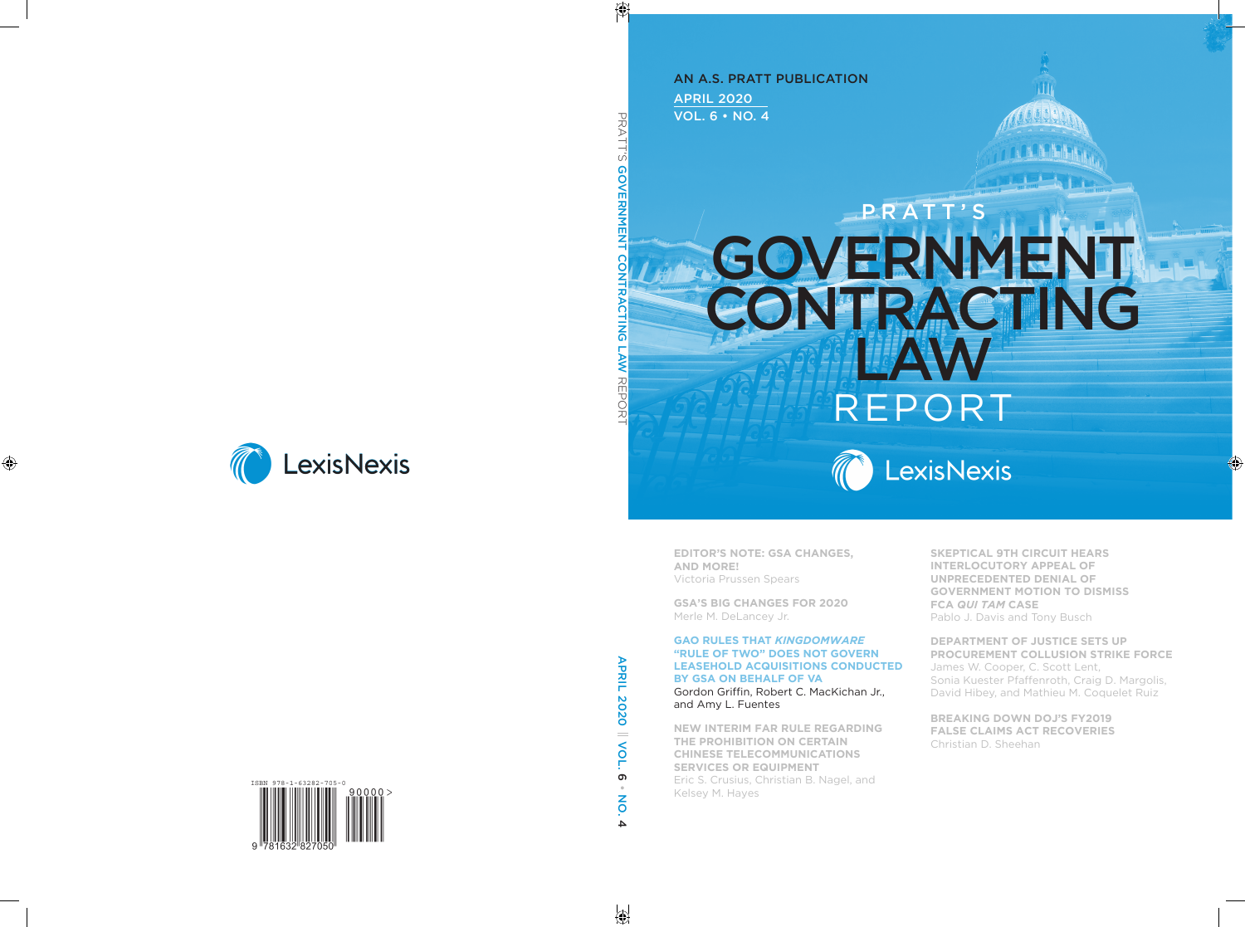APRIL 2020 VOL. 6 • NO. 4 An A.S. Pratt Publication

## **PRATT'** G C<sub>o</sub> C **AVE A Law** Report



**Editor's NotE: GsA ChANGEs, ANd MorE!**  Victoria prussen Spears

**GsA's BiG ChANGEs for 2020**  Merle M. DeLancey Jr.

#### **GAo rulEs thAt** *Kingdomware* **"rulE of two" doEs Not GovErN lEAsEhold ACquisitioNs CoNduCtEd By GsA oN BEhAlf of vA**

Gordon Griffin, Robert C. MacKichan Jr., and Amy L. Fuentes

**NEw iNtEriM fAr rulE rEGArdiNG thE ProhiBitioN oN CErtAiN ChiNEsE tElECoMMuNiCAtioNs sErviCEs or EquiPMENt**  Eric S. Crusius, Christian B. Nagel, and Kelsey M. Hayes

**skEPtiCAl 9th CirCuit hEArs iNtErloCutory APPEAl of uNPrECEdENtEd dENiAl of GovErNMENt MotioN to disMiss fCA** *Qui Tam* **CAsE**  Pablo J. Davis and Tony Busch

**dEPArtMENt of JustiCE sEts uP ProCurEMENt CollusioN strikE forCE**  James W. Cooper, C. Scott Lent, Sonia Kuester Pfaffenroth, Craig D. Margolis, David Hibey, and Mathieu M. Coquelet Ruiz

**BrEAkiNG dowN doJ's fy2019 fAlsE ClAiMs ACt rECovEriEs**  Christian D. Sheehan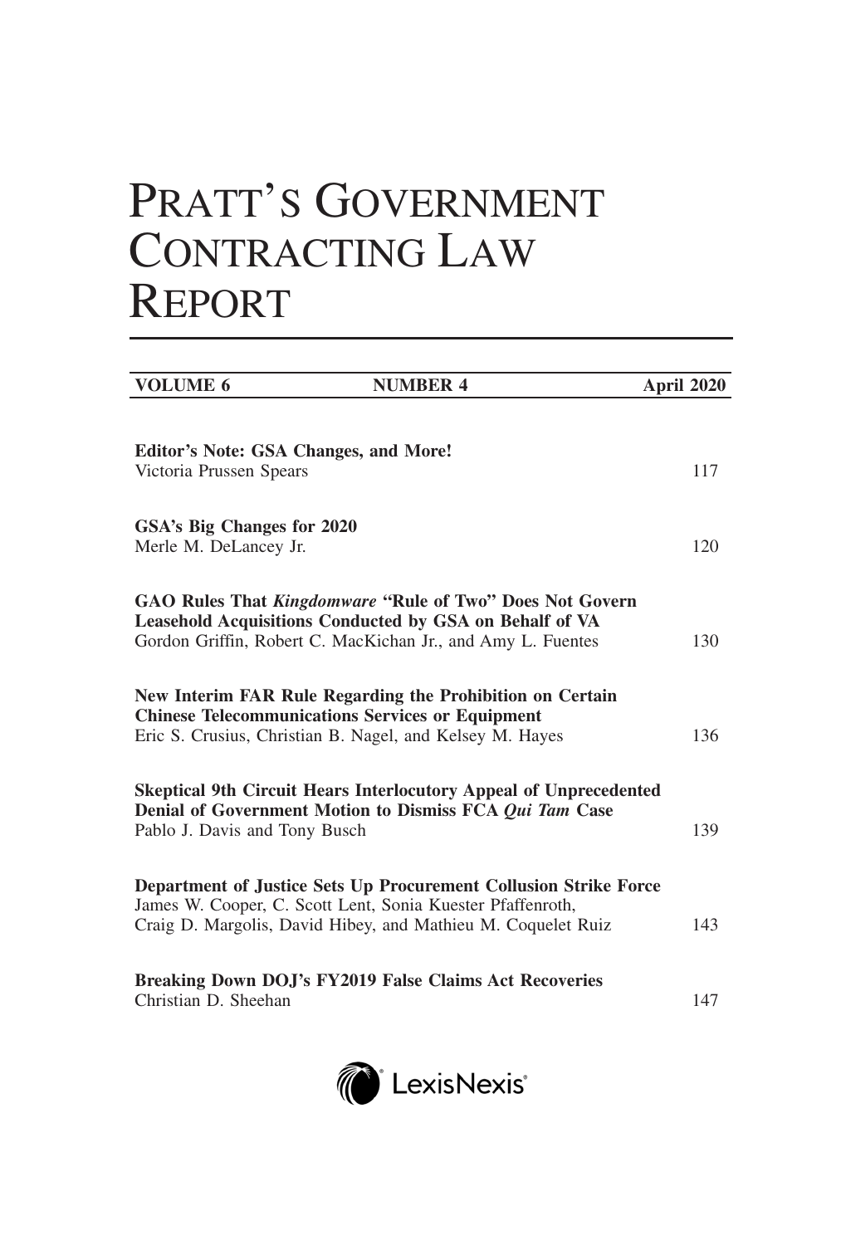# PRATT'S GOVERNMENT CONTRACTING LAW REPORT

| <b>VOLUME 6</b>                                                                                                     | <b>NUMBER 4</b>                                                                                                                                                                           | April 2020 |
|---------------------------------------------------------------------------------------------------------------------|-------------------------------------------------------------------------------------------------------------------------------------------------------------------------------------------|------------|
|                                                                                                                     |                                                                                                                                                                                           |            |
| Editor's Note: GSA Changes, and More!<br>Victoria Prussen Spears                                                    |                                                                                                                                                                                           | 117        |
| GSA's Big Changes for 2020<br>Merle M. DeLancey Jr.                                                                 |                                                                                                                                                                                           | 120        |
|                                                                                                                     | GAO Rules That Kingdomware "Rule of Two" Does Not Govern<br><b>Leasehold Acquisitions Conducted by GSA on Behalf of VA</b><br>Gordon Griffin, Robert C. MacKichan Jr., and Amy L. Fuentes | 130        |
| <b>Chinese Telecommunications Services or Equipment</b><br>Eric S. Crusius, Christian B. Nagel, and Kelsey M. Hayes | New Interim FAR Rule Regarding the Prohibition on Certain                                                                                                                                 | 136        |
| Pablo J. Davis and Tony Busch                                                                                       | <b>Skeptical 9th Circuit Hears Interlocutory Appeal of Unprecedented</b><br>Denial of Government Motion to Dismiss FCA Qui Tam Case                                                       | 139        |
| James W. Cooper, C. Scott Lent, Sonia Kuester Pfaffenroth,                                                          | Department of Justice Sets Up Procurement Collusion Strike Force<br>Craig D. Margolis, David Hibey, and Mathieu M. Coquelet Ruiz                                                          | 143        |
| Christian D. Sheehan                                                                                                | Breaking Down DOJ's FY2019 False Claims Act Recoveries                                                                                                                                    | 147        |

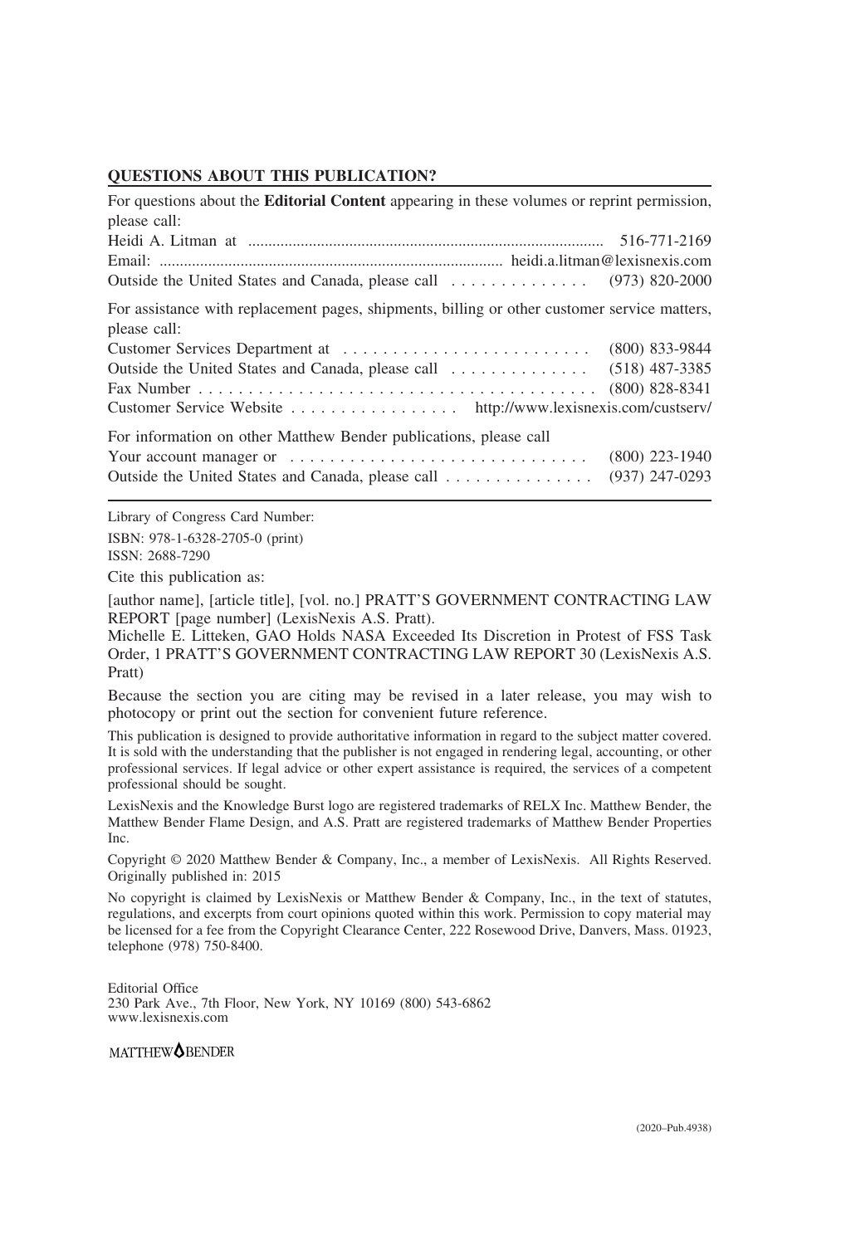#### **QUESTIONS ABOUT THIS PUBLICATION?**

| For questions about the <b>Editorial Content</b> appearing in these volumes or reprint permission,<br>please call: |                                      |  |  |
|--------------------------------------------------------------------------------------------------------------------|--------------------------------------|--|--|
|                                                                                                                    |                                      |  |  |
| For assistance with replacement pages, shipments, billing or other customer service matters,                       |                                      |  |  |
| please call:                                                                                                       | $(800)$ 833-9844                     |  |  |
| Customer Service Website http://www.lexisnexis.com/custserv/                                                       | $(800)$ 828-8341                     |  |  |
| For information on other Matthew Bender publications, please call                                                  |                                      |  |  |
| Outside the United States and Canada, please call                                                                  | $(800)$ 223-1940<br>$(937)$ 247-0293 |  |  |

Library of Congress Card Number: ISBN: 978-1-6328-2705-0 (print) ISSN: 2688-7290

Cite this publication as:

[author name], [article title], [vol. no.] PRATT'S GOVERNMENT CONTRACTING LAW REPORT [page number] (LexisNexis A.S. Pratt).

Michelle E. Litteken, GAO Holds NASA Exceeded Its Discretion in Protest of FSS Task Order, 1 PRATT'S GOVERNMENT CONTRACTING LAW REPORT 30 (LexisNexis A.S. Pratt)

Because the section you are citing may be revised in a later release, you may wish to photocopy or print out the section for convenient future reference.

This publication is designed to provide authoritative information in regard to the subject matter covered. It is sold with the understanding that the publisher is not engaged in rendering legal, accounting, or other professional services. If legal advice or other expert assistance is required, the services of a competent professional should be sought.

LexisNexis and the Knowledge Burst logo are registered trademarks of RELX Inc. Matthew Bender, the Matthew Bender Flame Design, and A.S. Pratt are registered trademarks of Matthew Bender Properties Inc.

Copyright © 2020 Matthew Bender & Company, Inc., a member of LexisNexis. All Rights Reserved. Originally published in: 2015

No copyright is claimed by LexisNexis or Matthew Bender & Company, Inc., in the text of statutes, regulations, and excerpts from court opinions quoted within this work. Permission to copy material may be licensed for a fee from the Copyright Clearance Center, 222 Rosewood Drive, Danvers, Mass. 01923, telephone (978) 750-8400.

Editorial Office 230 Park Ave., 7th Floor, New York, NY 10169 (800) 543-6862 www.lexisnexis.com

MATTHEW<sup>OBENDER</sup>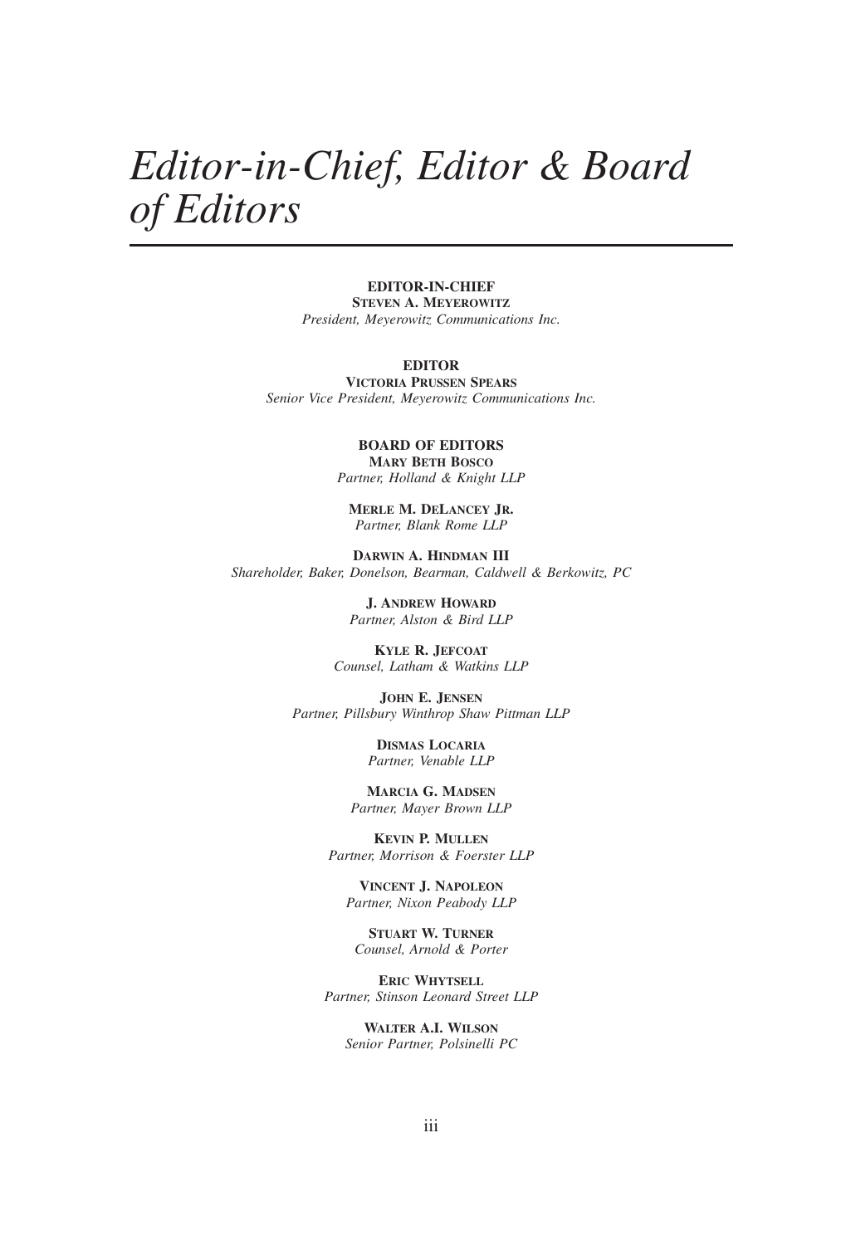## *Editor-in-Chief, Editor & Board of Editors*

#### **EDITOR-IN-CHIEF**

**STEVEN A. MEYEROWITZ** *President, Meyerowitz Communications Inc.*

#### **EDITOR**

**VICTORIA PRUSSEN SPEARS** *Senior Vice President, Meyerowitz Communications Inc.*

> **BOARD OF EDITORS MARY BETH BOSCO** *Partner, Holland & Knight LLP*

**MERLE M. DELANCEY JR.** *Partner, Blank Rome LLP*

**DARWIN A. HINDMAN III** *Shareholder, Baker, Donelson, Bearman, Caldwell & Berkowitz, PC*

> **J. ANDREW HOWARD** *Partner, Alston & Bird LLP*

**KYLE R. JEFCOAT** *Counsel, Latham & Watkins LLP*

**JOHN E. JENSEN** *Partner, Pillsbury Winthrop Shaw Pittman LLP*

> **DISMAS LOCARIA** *Partner, Venable LLP*

**MARCIA G. MADSEN** *Partner, Mayer Brown LLP*

**KEVIN P. MULLEN** *Partner, Morrison & Foerster LLP*

**VINCENT J. NAPOLEON** *Partner, Nixon Peabody LLP*

**STUART W. TURNER** *Counsel, Arnold & Porter*

**ERIC WHYTSELL** *Partner, Stinson Leonard Street LLP*

**WALTER A.I. WILSON** *Senior Partner, Polsinelli PC*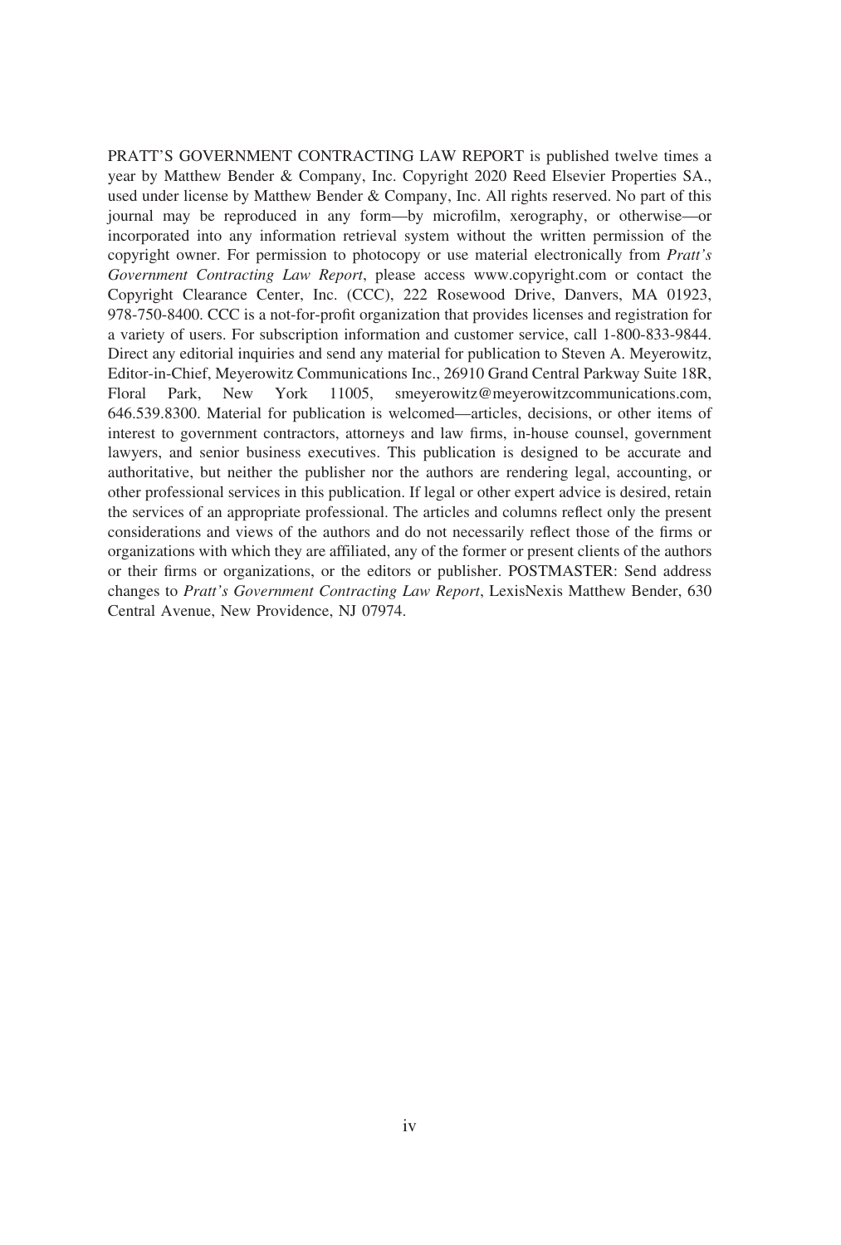PRATT'S GOVERNMENT CONTRACTING LAW REPORT is published twelve times a year by Matthew Bender & Company, Inc. Copyright 2020 Reed Elsevier Properties SA., used under license by Matthew Bender & Company, Inc. All rights reserved. No part of this journal may be reproduced in any form—by microfilm, xerography, or otherwise—or incorporated into any information retrieval system without the written permission of the copyright owner. For permission to photocopy or use material electronically from *Pratt's Government Contracting Law Report*, please access www.copyright.com or contact the Copyright Clearance Center, Inc. (CCC), 222 Rosewood Drive, Danvers, MA 01923, 978-750-8400. CCC is a not-for-profit organization that provides licenses and registration for a variety of users. For subscription information and customer service, call 1-800-833-9844. Direct any editorial inquiries and send any material for publication to Steven A. Meyerowitz, Editor-in-Chief, Meyerowitz Communications Inc., 26910 Grand Central Parkway Suite 18R, Floral Park, New York 11005, smeyerowitz@meyerowitzcommunications.com, 646.539.8300. Material for publication is welcomed—articles, decisions, or other items of interest to government contractors, attorneys and law firms, in-house counsel, government lawyers, and senior business executives. This publication is designed to be accurate and authoritative, but neither the publisher nor the authors are rendering legal, accounting, or other professional services in this publication. If legal or other expert advice is desired, retain the services of an appropriate professional. The articles and columns reflect only the present considerations and views of the authors and do not necessarily reflect those of the firms or organizations with which they are affiliated, any of the former or present clients of the authors or their firms or organizations, or the editors or publisher. POSTMASTER: Send address changes to *Pratt's Government Contracting Law Report*, LexisNexis Matthew Bender, 630 Central Avenue, New Providence, NJ 07974.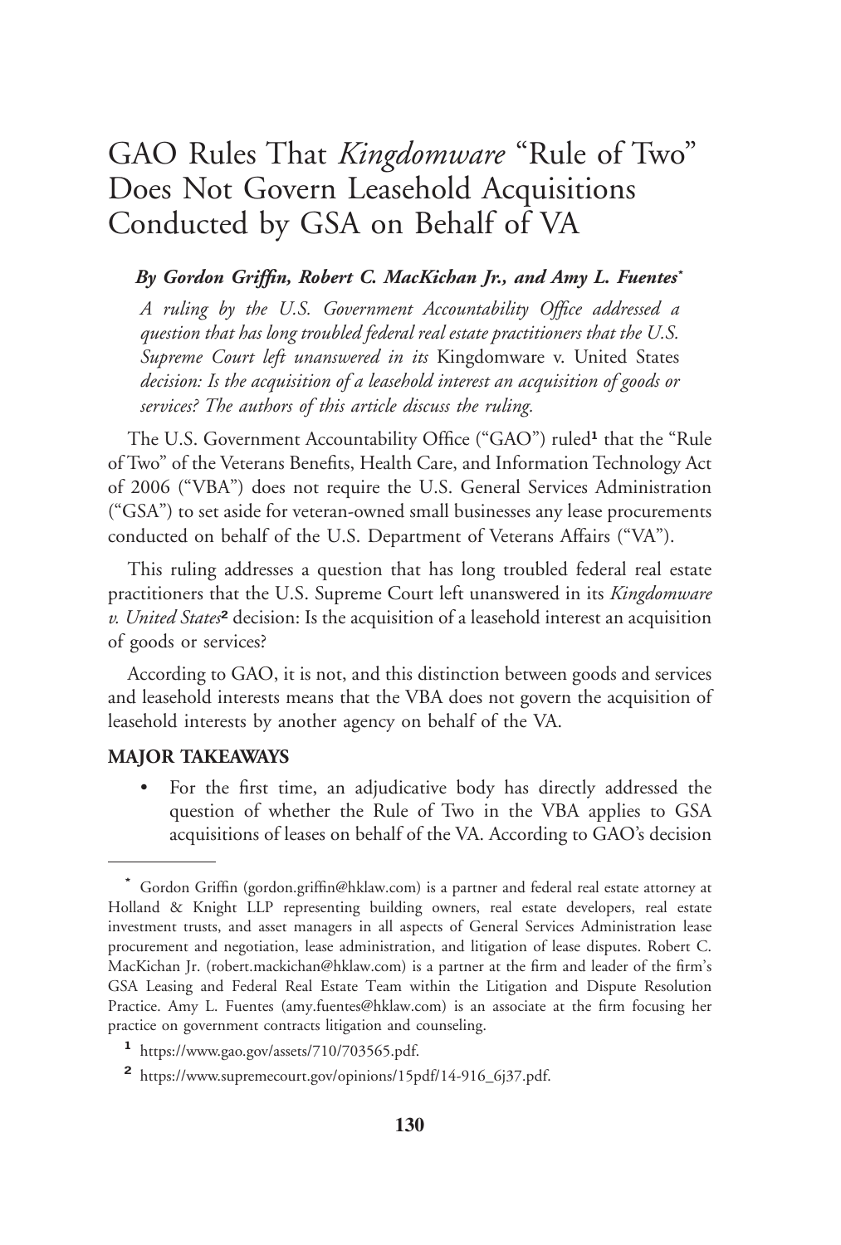### GAO Rules That *Kingdomware* "Rule of Two" Does Not Govern Leasehold Acquisitions Conducted by GSA on Behalf of VA

#### *By Gordon Griffin, Robert C. MacKichan Jr., and Amy L. Fuentes***\***

*A ruling by the U.S. Government Accountability Office addressed a question that has long troubled federal real estate practitioners that the U.S. Supreme Court left unanswered in its* Kingdomware v. United States *decision: Is the acquisition of a leasehold interest an acquisition of goods or services? The authors of this article discuss the ruling.*

The U.S. Government Accountability Office ("GAO") ruled**<sup>1</sup>** that the "Rule of Two" of the Veterans Benefits, Health Care, and Information Technology Act of 2006 ("VBA") does not require the U.S. General Services Administration ("GSA") to set aside for veteran-owned small businesses any lease procurements conducted on behalf of the U.S. Department of Veterans Affairs ("VA").

This ruling addresses a question that has long troubled federal real estate practitioners that the U.S. Supreme Court left unanswered in its *Kingdomware v. United States***<sup>2</sup>** decision: Is the acquisition of a leasehold interest an acquisition of goods or services?

According to GAO, it is not, and this distinction between goods and services and leasehold interests means that the VBA does not govern the acquisition of leasehold interests by another agency on behalf of the VA.

#### **MAJOR TAKEAWAYS**

• For the first time, an adjudicative body has directly addressed the question of whether the Rule of Two in the VBA applies to GSA acquisitions of leases on behalf of the VA. According to GAO's decision

**<sup>\*</sup>** Gordon Griffin (gordon.griffin@hklaw.com) is a partner and federal real estate attorney at Holland & Knight LLP representing building owners, real estate developers, real estate investment trusts, and asset managers in all aspects of General Services Administration lease procurement and negotiation, lease administration, and litigation of lease disputes. Robert C. MacKichan Jr. (robert.mackichan@hklaw.com) is a partner at the firm and leader of the firm's GSA Leasing and Federal Real Estate Team within the Litigation and Dispute Resolution Practice. Amy L. Fuentes (amy.fuentes@hklaw.com) is an associate at the firm focusing her practice on government contracts litigation and counseling.

**<sup>1</sup>** https://www.gao.gov/assets/710/703565.pdf.

**<sup>2</sup>** https://www.supremecourt.gov/opinions/15pdf/14-916\_6j37.pdf.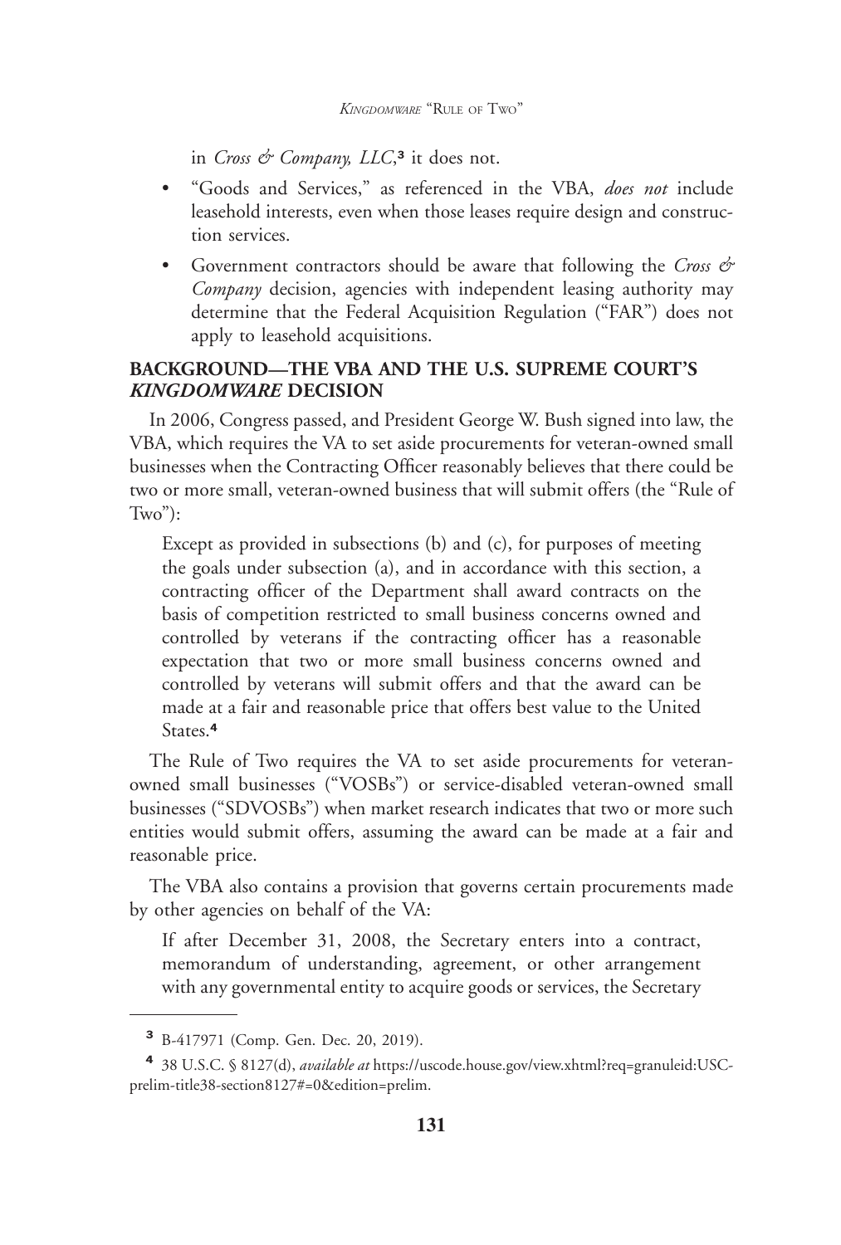in *Cross & Company, LLC*, **3** it does not.

- "Goods and Services," as referenced in the VBA, *does not* include leasehold interests, even when those leases require design and construction services.
- Government contractors should be aware that following the *Cross & Company* decision, agencies with independent leasing authority may determine that the Federal Acquisition Regulation ("FAR") does not apply to leasehold acquisitions.

#### **BACKGROUND—THE VBA AND THE U.S. SUPREME COURT'S** *KINGDOMWARE* **DECISION**

In 2006, Congress passed, and President George W. Bush signed into law, the VBA, which requires the VA to set aside procurements for veteran-owned small businesses when the Contracting Officer reasonably believes that there could be two or more small, veteran-owned business that will submit offers (the "Rule of  $Two$ "):

Except as provided in subsections (b) and (c), for purposes of meeting the goals under subsection (a), and in accordance with this section, a contracting officer of the Department shall award contracts on the basis of competition restricted to small business concerns owned and controlled by veterans if the contracting officer has a reasonable expectation that two or more small business concerns owned and controlled by veterans will submit offers and that the award can be made at a fair and reasonable price that offers best value to the United States.**<sup>4</sup>**

The Rule of Two requires the VA to set aside procurements for veteranowned small businesses ("VOSBs") or service-disabled veteran-owned small businesses ("SDVOSBs") when market research indicates that two or more such entities would submit offers, assuming the award can be made at a fair and reasonable price.

The VBA also contains a provision that governs certain procurements made by other agencies on behalf of the VA:

If after December 31, 2008, the Secretary enters into a contract, memorandum of understanding, agreement, or other arrangement with any governmental entity to acquire goods or services, the Secretary

**<sup>3</sup>** B-417971 (Comp. Gen. Dec. 20, 2019).

**<sup>4</sup>** 38 U.S.C. § 8127(d), *available at* https://uscode.house.gov/view.xhtml?req=granuleid:USCprelim-title38-section8127#=0&edition=prelim.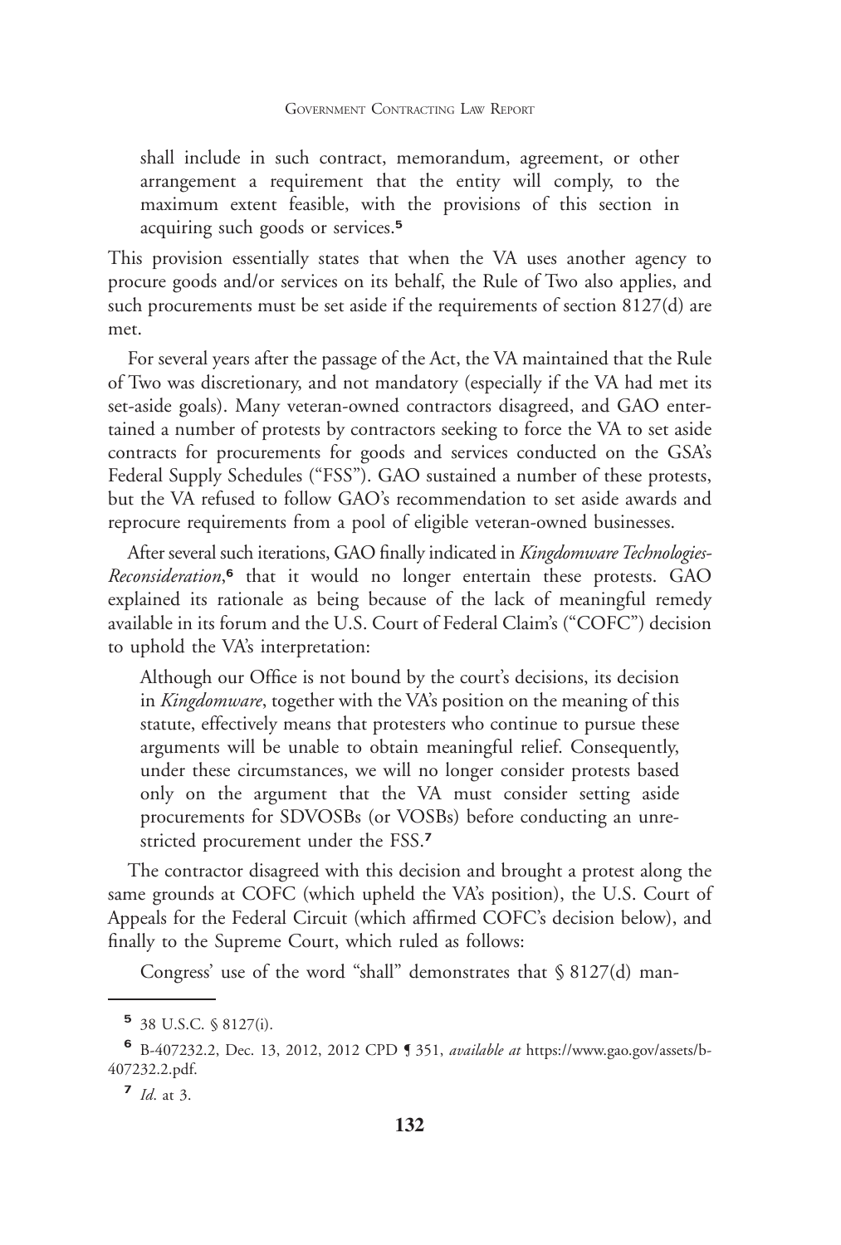shall include in such contract, memorandum, agreement, or other arrangement a requirement that the entity will comply, to the maximum extent feasible, with the provisions of this section in acquiring such goods or services.**<sup>5</sup>**

This provision essentially states that when the VA uses another agency to procure goods and/or services on its behalf, the Rule of Two also applies, and such procurements must be set aside if the requirements of section 8127(d) are met.

For several years after the passage of the Act, the VA maintained that the Rule of Two was discretionary, and not mandatory (especially if the VA had met its set-aside goals). Many veteran-owned contractors disagreed, and GAO entertained a number of protests by contractors seeking to force the VA to set aside contracts for procurements for goods and services conducted on the GSA's Federal Supply Schedules ("FSS"). GAO sustained a number of these protests, but the VA refused to follow GAO's recommendation to set aside awards and reprocure requirements from a pool of eligible veteran-owned businesses.

After several such iterations, GAO finally indicated in *Kingdomware Technologies-Reconsideration*, **6** that it would no longer entertain these protests. GAO explained its rationale as being because of the lack of meaningful remedy available in its forum and the U.S. Court of Federal Claim's ("COFC") decision to uphold the VA's interpretation:

Although our Office is not bound by the court's decisions, its decision in *Kingdomware*, together with the VA's position on the meaning of this statute, effectively means that protesters who continue to pursue these arguments will be unable to obtain meaningful relief. Consequently, under these circumstances, we will no longer consider protests based only on the argument that the VA must consider setting aside procurements for SDVOSBs (or VOSBs) before conducting an unrestricted procurement under the FSS.**<sup>7</sup>**

The contractor disagreed with this decision and brought a protest along the same grounds at COFC (which upheld the VA's position), the U.S. Court of Appeals for the Federal Circuit (which affirmed COFC's decision below), and finally to the Supreme Court, which ruled as follows:

Congress' use of the word "shall" demonstrates that § 8127(d) man-

**<sup>5</sup>** 38 U.S.C. § 8127(i).

**<sup>6</sup>** B-407232.2, Dec. 13, 2012, 2012 CPD ¶ 351, *available at* https://www.gao.gov/assets/b-407232.2.pdf.

**<sup>7</sup>** *Id*. at 3.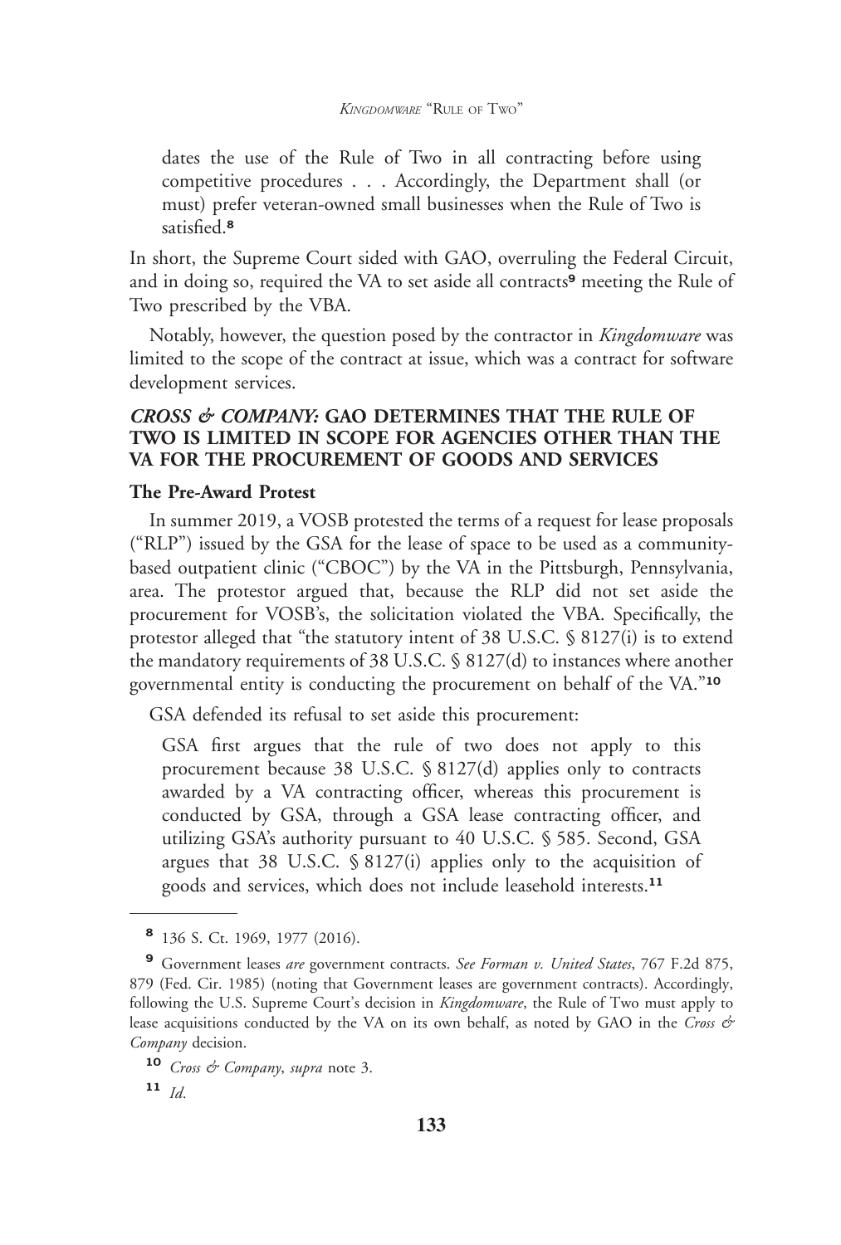dates the use of the Rule of Two in all contracting before using competitive procedures . . . Accordingly, the Department shall (or must) prefer veteran-owned small businesses when the Rule of Two is satisfied.**<sup>8</sup>**

In short, the Supreme Court sided with GAO, overruling the Federal Circuit, and in doing so, required the VA to set aside all contracts**<sup>9</sup>** meeting the Rule of Two prescribed by the VBA.

Notably, however, the question posed by the contractor in *Kingdomware* was limited to the scope of the contract at issue, which was a contract for software development services.

#### *CROSS & COMPANY:* **GAO DETERMINES THAT THE RULE OF TWO IS LIMITED IN SCOPE FOR AGENCIES OTHER THAN THE VA FOR THE PROCUREMENT OF GOODS AND SERVICES**

#### **The Pre-Award Protest**

In summer 2019, a VOSB protested the terms of a request for lease proposals ("RLP") issued by the GSA for the lease of space to be used as a communitybased outpatient clinic ("CBOC") by the VA in the Pittsburgh, Pennsylvania, area. The protestor argued that, because the RLP did not set aside the procurement for VOSB's, the solicitation violated the VBA. Specifically, the protestor alleged that "the statutory intent of 38 U.S.C. § 8127(i) is to extend the mandatory requirements of 38 U.S.C. § 8127(d) to instances where another governmental entity is conducting the procurement on behalf of the VA."**<sup>10</sup>**

GSA defended its refusal to set aside this procurement:

GSA first argues that the rule of two does not apply to this procurement because 38 U.S.C. § 8127(d) applies only to contracts awarded by a VA contracting officer, whereas this procurement is conducted by GSA, through a GSA lease contracting officer, and utilizing GSA's authority pursuant to 40 U.S.C. § 585. Second, GSA argues that 38 U.S.C. § 8127(i) applies only to the acquisition of goods and services, which does not include leasehold interests.**<sup>11</sup>**

**<sup>8</sup>** 136 S. Ct. 1969, 1977 (2016).

**<sup>9</sup>** Government leases *are* government contracts. *See Forman v. United States*, 767 F.2d 875, 879 (Fed. Cir. 1985) (noting that Government leases are government contracts). Accordingly, following the U.S. Supreme Court's decision in *Kingdomware*, the Rule of Two must apply to lease acquisitions conducted by the VA on its own behalf, as noted by GAO in the *Cross & Company* decision.

**<sup>10</sup>** *Cross & Company*, *supra* note 3.

**<sup>11</sup>** *Id*.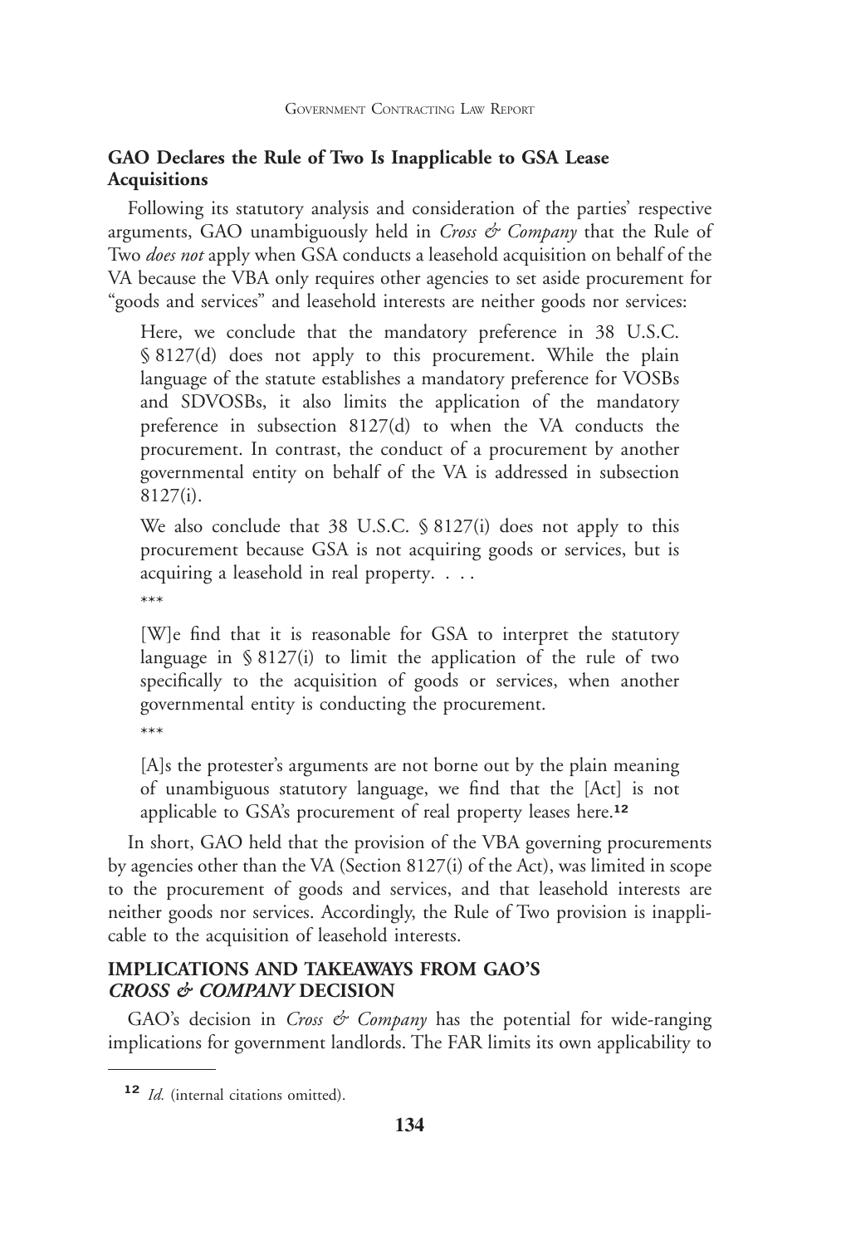#### **GAO Declares the Rule of Two Is Inapplicable to GSA Lease Acquisitions**

Following its statutory analysis and consideration of the parties' respective arguments, GAO unambiguously held in *Cross & Company* that the Rule of Two *does not* apply when GSA conducts a leasehold acquisition on behalf of the VA because the VBA only requires other agencies to set aside procurement for "goods and services" and leasehold interests are neither goods nor services:

Here, we conclude that the mandatory preference in 38 U.S.C. § 8127(d) does not apply to this procurement. While the plain language of the statute establishes a mandatory preference for VOSBs and SDVOSBs, it also limits the application of the mandatory preference in subsection 8127(d) to when the VA conducts the procurement. In contrast, the conduct of a procurement by another governmental entity on behalf of the VA is addressed in subsection 8127(i).

We also conclude that 38 U.S.C. § 8127(i) does not apply to this procurement because GSA is not acquiring goods or services, but is acquiring a leasehold in real property. . . . \*\*\*

[W]e find that it is reasonable for GSA to interpret the statutory language in  $\S 8127(i)$  to limit the application of the rule of two specifically to the acquisition of goods or services, when another governmental entity is conducting the procurement. \*\*\*

[A]s the protester's arguments are not borne out by the plain meaning of unambiguous statutory language, we find that the [Act] is not applicable to GSA's procurement of real property leases here.**<sup>12</sup>**

In short, GAO held that the provision of the VBA governing procurements by agencies other than the VA (Section 8127(i) of the Act), was limited in scope to the procurement of goods and services, and that leasehold interests are neither goods nor services. Accordingly, the Rule of Two provision is inapplicable to the acquisition of leasehold interests.

#### **IMPLICATIONS AND TAKEAWAYS FROM GAO'S** *CROSS & COMPANY* **DECISION**

GAO's decision in *Cross & Company* has the potential for wide-ranging implications for government landlords. The FAR limits its own applicability to

**<sup>12</sup>** *Id.* (internal citations omitted).